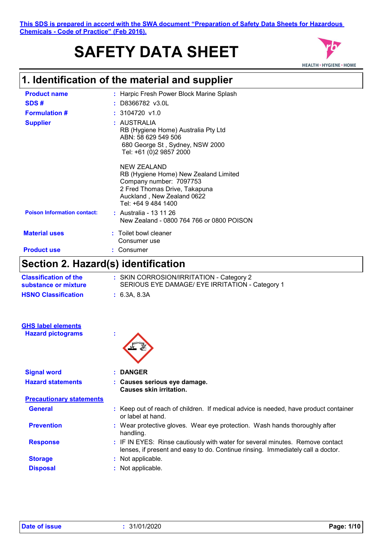# **SAFETY DATA SHEET**



# **1. Identification of the material and supplier**

| <b>Product name</b>                | : Harpic Fresh Power Block Marine Splash                                                                                                                                     |
|------------------------------------|------------------------------------------------------------------------------------------------------------------------------------------------------------------------------|
| SDS#                               | $:$ D8366782 v3.0L                                                                                                                                                           |
| <b>Formulation #</b>               | $: 3104720$ v1.0                                                                                                                                                             |
| <b>Supplier</b>                    | : AUSTRALIA<br>RB (Hygiene Home) Australia Pty Ltd<br>ABN: 58 629 549 506<br>680 George St, Sydney, NSW 2000<br>Tel: +61 (0)2 9857 2000                                      |
|                                    | <b>NEW ZEALAND</b><br>RB (Hygiene Home) New Zealand Limited<br>Company number: 7097753<br>2 Fred Thomas Drive, Takapuna<br>Auckland, New Zealand 0622<br>Tel: +64 9 484 1400 |
| <b>Poison Information contact:</b> | : Australia - 13 11 26<br>New Zealand - 0800 764 766 or 0800 POISON                                                                                                          |
| <b>Material uses</b>               | : Toilet bowl cleaner<br>Consumer use                                                                                                                                        |
| <b>Product use</b>                 | Consumer                                                                                                                                                                     |
| <b>Communication</b>               |                                                                                                                                                                              |

### **Section 2. Hazard(s) identification**

| <b>Classification of the</b><br>substance or mixture  | : SKIN CORROSION/IRRITATION - Category 2<br>SERIOUS EYE DAMAGE/ EYE IRRITATION - Category 1 |
|-------------------------------------------------------|---------------------------------------------------------------------------------------------|
| <b>HSNO Classification</b>                            | : 6.3A, 8.3A                                                                                |
| <b>GHS label elements</b><br><b>Hazard pictograms</b> | ×.                                                                                          |

| <b>Signal word</b>              | : DANGER                                                                                                                                                         |  |
|---------------------------------|------------------------------------------------------------------------------------------------------------------------------------------------------------------|--|
| <b>Hazard statements</b>        | : Causes serious eye damage.<br><b>Causes skin irritation.</b>                                                                                                   |  |
| <b>Precautionary statements</b> |                                                                                                                                                                  |  |
| <b>General</b>                  | : Keep out of reach of children. If medical advice is needed, have product container<br>or label at hand.                                                        |  |
| <b>Prevention</b>               | : Wear protective gloves. Wear eye protection. Wash hands thoroughly after<br>handling.                                                                          |  |
| <b>Response</b>                 | : IF IN EYES: Rinse cautiously with water for several minutes. Remove contact<br>lenses, if present and easy to do. Continue rinsing. Immediately call a doctor. |  |
| <b>Storage</b>                  | : Not applicable.                                                                                                                                                |  |
| <b>Disposal</b>                 | : Not applicable.                                                                                                                                                |  |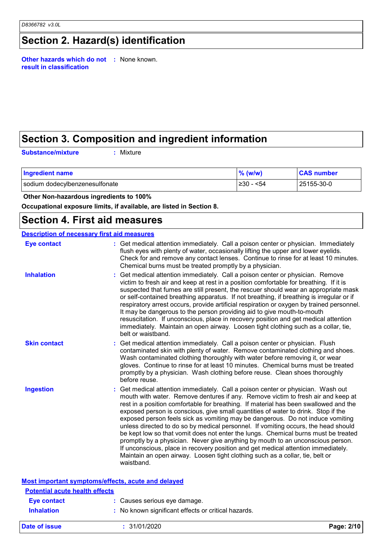# **Section 2. Hazard(s) identification**

**Other hazards which do not :** None known. **result in classification**

## **Section 3. Composition and ingredient information**

**Substance/mixture :**

Mixture

| <b>Ingredient name</b>         | $\%$ (w/w) | <b>CAS number</b> |
|--------------------------------|------------|-------------------|
| sodium dodecylbenzenesulfonate | ≥30 - <54  | 25155-30-0        |

 **Other Non-hazardous ingredients to 100%**

**Occupational exposure limits, if available, are listed in Section 8.**

### **Section 4. First aid measures**

| <b>Description of necessary first aid measures</b> |                                                                                                                                                                                                                                                                                                                                                                                                                                                                                                                                                                                                                                                                                                                                                                                                                                                                                      |
|----------------------------------------------------|--------------------------------------------------------------------------------------------------------------------------------------------------------------------------------------------------------------------------------------------------------------------------------------------------------------------------------------------------------------------------------------------------------------------------------------------------------------------------------------------------------------------------------------------------------------------------------------------------------------------------------------------------------------------------------------------------------------------------------------------------------------------------------------------------------------------------------------------------------------------------------------|
| <b>Eye contact</b>                                 | : Get medical attention immediately. Call a poison center or physician. Immediately<br>flush eyes with plenty of water, occasionally lifting the upper and lower eyelids.<br>Check for and remove any contact lenses. Continue to rinse for at least 10 minutes.<br>Chemical burns must be treated promptly by a physician.                                                                                                                                                                                                                                                                                                                                                                                                                                                                                                                                                          |
| <b>Inhalation</b>                                  | Get medical attention immediately. Call a poison center or physician. Remove<br>victim to fresh air and keep at rest in a position comfortable for breathing. If it is<br>suspected that fumes are still present, the rescuer should wear an appropriate mask<br>or self-contained breathing apparatus. If not breathing, if breathing is irregular or if<br>respiratory arrest occurs, provide artificial respiration or oxygen by trained personnel.<br>It may be dangerous to the person providing aid to give mouth-to-mouth<br>resuscitation. If unconscious, place in recovery position and get medical attention<br>immediately. Maintain an open airway. Loosen tight clothing such as a collar, tie,<br>belt or waistband.                                                                                                                                                  |
| <b>Skin contact</b>                                | Get medical attention immediately. Call a poison center or physician. Flush<br>contaminated skin with plenty of water. Remove contaminated clothing and shoes.<br>Wash contaminated clothing thoroughly with water before removing it, or wear<br>gloves. Continue to rinse for at least 10 minutes. Chemical burns must be treated<br>promptly by a physician. Wash clothing before reuse. Clean shoes thoroughly<br>before reuse.                                                                                                                                                                                                                                                                                                                                                                                                                                                  |
| <b>Ingestion</b>                                   | Get medical attention immediately. Call a poison center or physician. Wash out<br>mouth with water. Remove dentures if any. Remove victim to fresh air and keep at<br>rest in a position comfortable for breathing. If material has been swallowed and the<br>exposed person is conscious, give small quantities of water to drink. Stop if the<br>exposed person feels sick as vomiting may be dangerous. Do not induce vomiting<br>unless directed to do so by medical personnel. If vomiting occurs, the head should<br>be kept low so that vomit does not enter the lungs. Chemical burns must be treated<br>promptly by a physician. Never give anything by mouth to an unconscious person.<br>If unconscious, place in recovery position and get medical attention immediately.<br>Maintain an open airway. Loosen tight clothing such as a collar, tie, belt or<br>waistband. |
| <b>Potential acute health effects</b>              | Most important symptoms/effects, acute and delayed                                                                                                                                                                                                                                                                                                                                                                                                                                                                                                                                                                                                                                                                                                                                                                                                                                   |
|                                                    |                                                                                                                                                                                                                                                                                                                                                                                                                                                                                                                                                                                                                                                                                                                                                                                                                                                                                      |
| <b>Eye contact</b>                                 | : Causes serious eye damage.                                                                                                                                                                                                                                                                                                                                                                                                                                                                                                                                                                                                                                                                                                                                                                                                                                                         |
| <b>Inhalation</b>                                  | : No known significant effects or critical hazards.                                                                                                                                                                                                                                                                                                                                                                                                                                                                                                                                                                                                                                                                                                                                                                                                                                  |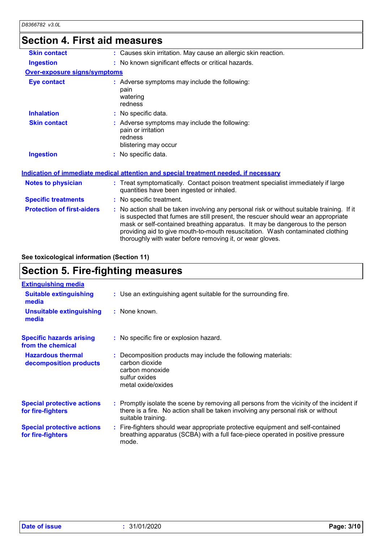### **Section 4. First aid measures**

| <b>Skin contact</b>               | : Causes skin irritation. May cause an allergic skin reaction.                                                                                                                                                                                                                                                                                                                                                  |
|-----------------------------------|-----------------------------------------------------------------------------------------------------------------------------------------------------------------------------------------------------------------------------------------------------------------------------------------------------------------------------------------------------------------------------------------------------------------|
| <b>Ingestion</b>                  | : No known significant effects or critical hazards.                                                                                                                                                                                                                                                                                                                                                             |
| Over-exposure signs/symptoms      |                                                                                                                                                                                                                                                                                                                                                                                                                 |
| <b>Eye contact</b>                | : Adverse symptoms may include the following:<br>pain<br>watering<br>redness                                                                                                                                                                                                                                                                                                                                    |
| <b>Inhalation</b>                 | : No specific data.                                                                                                                                                                                                                                                                                                                                                                                             |
| <b>Skin contact</b>               | : Adverse symptoms may include the following:<br>pain or irritation<br>redness<br>blistering may occur                                                                                                                                                                                                                                                                                                          |
| <b>Ingestion</b>                  | : No specific data.                                                                                                                                                                                                                                                                                                                                                                                             |
|                                   | Indication of immediate medical attention and special treatment needed, if necessary                                                                                                                                                                                                                                                                                                                            |
| <b>Notes to physician</b>         | : Treat symptomatically. Contact poison treatment specialist immediately if large<br>quantities have been ingested or inhaled.                                                                                                                                                                                                                                                                                  |
| <b>Specific treatments</b>        | : No specific treatment.                                                                                                                                                                                                                                                                                                                                                                                        |
| <b>Protection of first-aiders</b> | : No action shall be taken involving any personal risk or without suitable training. If it<br>is suspected that fumes are still present, the rescuer should wear an appropriate<br>mask or self-contained breathing apparatus. It may be dangerous to the person<br>providing aid to give mouth-to-mouth resuscitation. Wash contaminated clothing<br>thoroughly with water before removing it, or wear gloves. |

### **See toxicological information (Section 11)**

# **Section 5. Fire-fighting measures**

| <b>Extinguishing media</b>                             |                                                                                                                                                                                                     |
|--------------------------------------------------------|-----------------------------------------------------------------------------------------------------------------------------------------------------------------------------------------------------|
| <b>Suitable extinguishing</b><br>media                 | : Use an extinguishing agent suitable for the surrounding fire.                                                                                                                                     |
| <b>Unsuitable extinguishing</b><br>media               | : None known.                                                                                                                                                                                       |
| <b>Specific hazards arising</b><br>from the chemical   | : No specific fire or explosion hazard.                                                                                                                                                             |
| <b>Hazardous thermal</b><br>decomposition products     | : Decomposition products may include the following materials:<br>carbon dioxide<br>carbon monoxide<br>sulfur oxides<br>metal oxide/oxides                                                           |
| <b>Special protective actions</b><br>for fire-fighters | : Promptly isolate the scene by removing all persons from the vicinity of the incident if<br>there is a fire. No action shall be taken involving any personal risk or without<br>suitable training. |
| <b>Special protective actions</b><br>for fire-fighters | : Fire-fighters should wear appropriate protective equipment and self-contained<br>breathing apparatus (SCBA) with a full face-piece operated in positive pressure<br>mode.                         |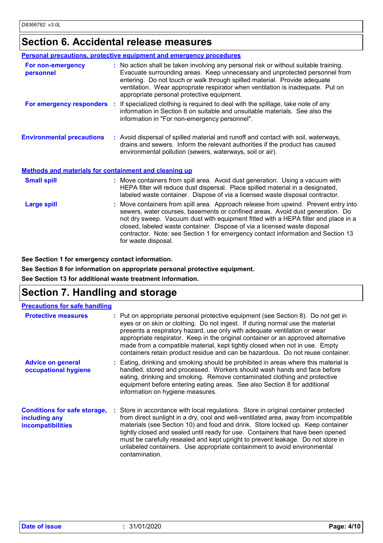## **Section 6. Accidental release measures**

|                                                              | <b>Personal precautions, protective equipment and emergency procedures</b>                                                                                                                                                                                                                                                                                                                                                                         |
|--------------------------------------------------------------|----------------------------------------------------------------------------------------------------------------------------------------------------------------------------------------------------------------------------------------------------------------------------------------------------------------------------------------------------------------------------------------------------------------------------------------------------|
| For non-emergency<br>personnel                               | : No action shall be taken involving any personal risk or without suitable training.<br>Evacuate surrounding areas. Keep unnecessary and unprotected personnel from<br>entering. Do not touch or walk through spilled material. Provide adequate<br>ventilation. Wear appropriate respirator when ventilation is inadequate. Put on<br>appropriate personal protective equipment.                                                                  |
|                                                              | For emergency responders : If specialized clothing is required to deal with the spillage, take note of any<br>information in Section 8 on suitable and unsuitable materials. See also the<br>information in "For non-emergency personnel".                                                                                                                                                                                                         |
| <b>Environmental precautions</b>                             | : Avoid dispersal of spilled material and runoff and contact with soil, waterways,<br>drains and sewers. Inform the relevant authorities if the product has caused<br>environmental pollution (sewers, waterways, soil or air).                                                                                                                                                                                                                    |
| <b>Methods and materials for containment and cleaning up</b> |                                                                                                                                                                                                                                                                                                                                                                                                                                                    |
| <b>Small spill</b>                                           | : Move containers from spill area. Avoid dust generation. Using a vacuum with<br>HEPA filter will reduce dust dispersal. Place spilled material in a designated,<br>labeled waste container. Dispose of via a licensed waste disposal contractor.                                                                                                                                                                                                  |
| <b>Large spill</b>                                           | : Move containers from spill area. Approach release from upwind. Prevent entry into<br>sewers, water courses, basements or confined areas. Avoid dust generation. Do<br>not dry sweep. Vacuum dust with equipment fitted with a HEPA filter and place in a<br>closed, labeled waste container. Dispose of via a licensed waste disposal<br>contractor. Note: see Section 1 for emergency contact information and Section 13<br>for waste disposal. |

**See Section 1 for emergency contact information.**

**See Section 8 for information on appropriate personal protective equipment.**

**See Section 13 for additional waste treatment information.**

### **Section 7. Handling and storage**

| <b>Precautions for safe handling</b>                                             |                                                                                                                                                                                                                                                                                                                                                                                                                                                                                                                                   |
|----------------------------------------------------------------------------------|-----------------------------------------------------------------------------------------------------------------------------------------------------------------------------------------------------------------------------------------------------------------------------------------------------------------------------------------------------------------------------------------------------------------------------------------------------------------------------------------------------------------------------------|
| <b>Protective measures</b>                                                       | : Put on appropriate personal protective equipment (see Section 8). Do not get in<br>eyes or on skin or clothing. Do not ingest. If during normal use the material<br>presents a respiratory hazard, use only with adequate ventilation or wear<br>appropriate respirator. Keep in the original container or an approved alternative<br>made from a compatible material, kept tightly closed when not in use. Empty<br>containers retain product residue and can be hazardous. Do not reuse container.                            |
| <b>Advice on general</b><br>occupational hygiene                                 | : Eating, drinking and smoking should be prohibited in areas where this material is<br>handled, stored and processed. Workers should wash hands and face before<br>eating, drinking and smoking. Remove contaminated clothing and protective<br>equipment before entering eating areas. See also Section 8 for additional<br>information on hygiene measures.                                                                                                                                                                     |
| <b>Conditions for safe storage,</b><br>including any<br><i>incompatibilities</i> | : Store in accordance with local regulations. Store in original container protected<br>from direct sunlight in a dry, cool and well-ventilated area, away from incompatible<br>materials (see Section 10) and food and drink. Store locked up. Keep container<br>tightly closed and sealed until ready for use. Containers that have been opened<br>must be carefully resealed and kept upright to prevent leakage. Do not store in<br>unlabeled containers. Use appropriate containment to avoid environmental<br>contamination. |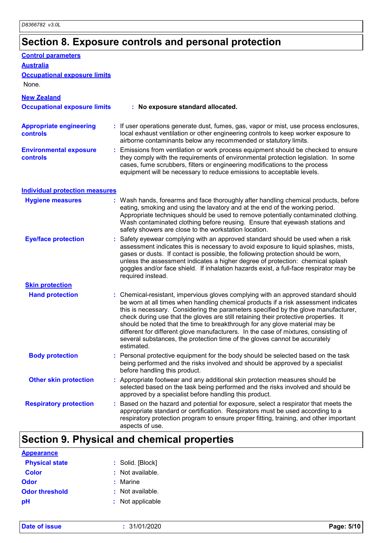# **Section 8. Exposure controls and personal protection**

| <b>Control parameters</b>                         |                                                                                                                                                                                                                                                                                                                                                                                                                                                                                                                                                                                                                           |
|---------------------------------------------------|---------------------------------------------------------------------------------------------------------------------------------------------------------------------------------------------------------------------------------------------------------------------------------------------------------------------------------------------------------------------------------------------------------------------------------------------------------------------------------------------------------------------------------------------------------------------------------------------------------------------------|
| <b>Australia</b>                                  |                                                                                                                                                                                                                                                                                                                                                                                                                                                                                                                                                                                                                           |
| <b>Occupational exposure limits</b><br>None.      |                                                                                                                                                                                                                                                                                                                                                                                                                                                                                                                                                                                                                           |
| <b>New Zealand</b>                                |                                                                                                                                                                                                                                                                                                                                                                                                                                                                                                                                                                                                                           |
| <b>Occupational exposure limits</b>               | : No exposure standard allocated.                                                                                                                                                                                                                                                                                                                                                                                                                                                                                                                                                                                         |
| <b>Appropriate engineering</b><br><b>controls</b> | : If user operations generate dust, fumes, gas, vapor or mist, use process enclosures,<br>local exhaust ventilation or other engineering controls to keep worker exposure to<br>airborne contaminants below any recommended or statutory limits.                                                                                                                                                                                                                                                                                                                                                                          |
| <b>Environmental exposure</b><br><b>controls</b>  | : Emissions from ventilation or work process equipment should be checked to ensure<br>they comply with the requirements of environmental protection legislation. In some<br>cases, fume scrubbers, filters or engineering modifications to the process<br>equipment will be necessary to reduce emissions to acceptable levels.                                                                                                                                                                                                                                                                                           |
| <b>Individual protection measures</b>             |                                                                                                                                                                                                                                                                                                                                                                                                                                                                                                                                                                                                                           |
| <b>Hygiene measures</b>                           | : Wash hands, forearms and face thoroughly after handling chemical products, before<br>eating, smoking and using the lavatory and at the end of the working period.<br>Appropriate techniques should be used to remove potentially contaminated clothing.<br>Wash contaminated clothing before reusing. Ensure that eyewash stations and<br>safety showers are close to the workstation location.                                                                                                                                                                                                                         |
| <b>Eye/face protection</b>                        | Safety eyewear complying with an approved standard should be used when a risk<br>assessment indicates this is necessary to avoid exposure to liquid splashes, mists,<br>gases or dusts. If contact is possible, the following protection should be worn,<br>unless the assessment indicates a higher degree of protection: chemical splash<br>goggles and/or face shield. If inhalation hazards exist, a full-face respirator may be<br>required instead.                                                                                                                                                                 |
| <b>Skin protection</b>                            |                                                                                                                                                                                                                                                                                                                                                                                                                                                                                                                                                                                                                           |
| <b>Hand protection</b>                            | : Chemical-resistant, impervious gloves complying with an approved standard should<br>be worn at all times when handling chemical products if a risk assessment indicates<br>this is necessary. Considering the parameters specified by the glove manufacturer,<br>check during use that the gloves are still retaining their protective properties. It<br>should be noted that the time to breakthrough for any glove material may be<br>different for different glove manufacturers. In the case of mixtures, consisting of<br>several substances, the protection time of the gloves cannot be accurately<br>estimated. |
| <b>Body protection</b>                            | : Personal protective equipment for the body should be selected based on the task<br>being performed and the risks involved and should be approved by a specialist<br>before handling this product.                                                                                                                                                                                                                                                                                                                                                                                                                       |
| <b>Other skin protection</b>                      | : Appropriate footwear and any additional skin protection measures should be<br>selected based on the task being performed and the risks involved and should be<br>approved by a specialist before handling this product.                                                                                                                                                                                                                                                                                                                                                                                                 |
| <b>Respiratory protection</b>                     | : Based on the hazard and potential for exposure, select a respirator that meets the<br>appropriate standard or certification. Respirators must be used according to a<br>respiratory protection program to ensure proper fitting, training, and other important<br>aspects of use.                                                                                                                                                                                                                                                                                                                                       |

# **Section 9. Physical and chemical properties**

| <b>Appearance</b>     |                    |
|-----------------------|--------------------|
| <b>Physical state</b> | : Solid. [Block]   |
| <b>Color</b>          | $:$ Not available. |
| Odor                  | $:$ Marine         |
| <b>Odor threshold</b> | : Not available.   |
| pH                    | : Not applicable   |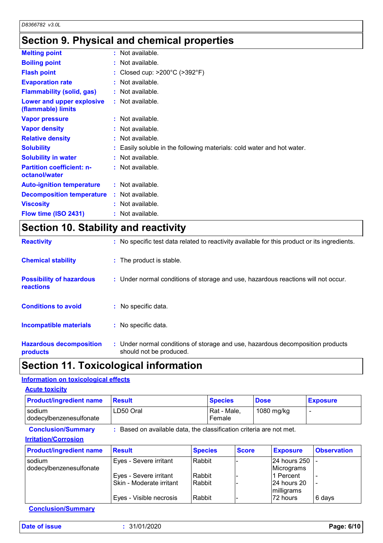# **Section 9. Physical and chemical properties**

| <b>Melting point</b>                              | $:$ Not available.                                                     |
|---------------------------------------------------|------------------------------------------------------------------------|
| <b>Boiling point</b>                              | : Not available.                                                       |
| <b>Flash point</b>                                | : Closed cup: $>200^{\circ}$ C ( $>392^{\circ}$ F)                     |
| <b>Evaporation rate</b>                           | $:$ Not available.                                                     |
| <b>Flammability (solid, gas)</b>                  | $:$ Not available.                                                     |
| Lower and upper explosive<br>(flammable) limits   | : Not available.                                                       |
| <b>Vapor pressure</b>                             | $:$ Not available.                                                     |
| <b>Vapor density</b>                              | : Not available.                                                       |
| <b>Relative density</b>                           | $:$ Not available.                                                     |
| <b>Solubility</b>                                 | : Easily soluble in the following materials: cold water and hot water. |
| <b>Solubility in water</b>                        | $:$ Not available.                                                     |
| <b>Partition coefficient: n-</b><br>octanol/water | $:$ Not available.                                                     |
| <b>Auto-ignition temperature</b>                  | $:$ Not available.                                                     |
| <b>Decomposition temperature</b>                  | $:$ Not available.                                                     |
| <b>Viscosity</b>                                  | : Not available.                                                       |
| Flow time (ISO 2431)                              | : Not available.                                                       |

# **Section 10. Stability and reactivity**

| <b>Reactivity</b>                            | : No specific test data related to reactivity available for this product or its ingredients.              |
|----------------------------------------------|-----------------------------------------------------------------------------------------------------------|
| <b>Chemical stability</b>                    | : The product is stable.                                                                                  |
| <b>Possibility of hazardous</b><br>reactions | : Under normal conditions of storage and use, hazardous reactions will not occur.                         |
| <b>Conditions to avoid</b>                   | : No specific data.                                                                                       |
| <b>Incompatible materials</b>                | : No specific data.                                                                                       |
| <b>Hazardous decomposition</b><br>products   | : Under normal conditions of storage and use, hazardous decomposition products<br>should not be produced. |

# **Section 11. Toxicological information**

### **Information on toxicological effects**

| <b>Product/ingredient name</b>                           | <b>Result</b>                                                       |                | <b>Species</b>                      |              | <b>Dose</b> |                            | <b>Exposure</b>    |
|----------------------------------------------------------|---------------------------------------------------------------------|----------------|-------------------------------------|--------------|-------------|----------------------------|--------------------|
| sodium<br>dodecylbenzenesulfonate                        | LD50 Oral                                                           |                | Rat - Male,<br>1080 mg/kg<br>Female |              |             |                            |                    |
| <b>Conclusion/Summary</b><br><b>Irritation/Corrosion</b> | : Based on available data, the classification criteria are not met. |                |                                     |              |             |                            |                    |
| <b>Product/ingredient name</b>                           | <b>Result</b>                                                       | <b>Species</b> |                                     | <b>Score</b> |             | <b>Exposure</b>            | <b>Observation</b> |
| sodium<br>dodecylbenzenesulfonate                        | Eyes - Severe irritant                                              | Rabbit         |                                     |              |             | 24 hours 250<br>Micrograms |                    |
|                                                          | Eyes - Severe irritant                                              | Rabbit         |                                     |              |             | 1 Percent                  |                    |
|                                                          | Skin - Moderate irritant                                            | l Rabbit       |                                     |              |             | 24 hours 20<br>milligrams  |                    |
|                                                          | Eyes - Visible necrosis                                             | Rabbit         |                                     |              |             | 72 hours                   | 6 days             |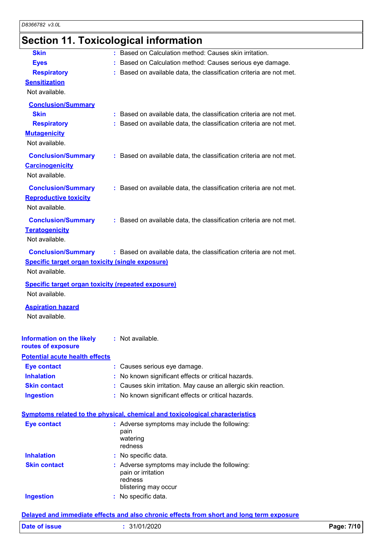# **Section 11. Toxicological information**

| <b>Skin</b>                                               | : Based on Calculation method: Causes skin irritation.                              |
|-----------------------------------------------------------|-------------------------------------------------------------------------------------|
| <b>Eyes</b>                                               | : Based on Calculation method: Causes serious eye damage.                           |
| <b>Respiratory</b>                                        | : Based on available data, the classification criteria are not met.                 |
| <b>Sensitization</b>                                      |                                                                                     |
| Not available.                                            |                                                                                     |
| <b>Conclusion/Summary</b>                                 |                                                                                     |
| <b>Skin</b>                                               | : Based on available data, the classification criteria are not met.                 |
| <b>Respiratory</b>                                        | : Based on available data, the classification criteria are not met.                 |
| <b>Mutagenicity</b>                                       |                                                                                     |
| Not available.                                            |                                                                                     |
| <b>Conclusion/Summary</b>                                 | : Based on available data, the classification criteria are not met.                 |
| <b>Carcinogenicity</b>                                    |                                                                                     |
| Not available.                                            |                                                                                     |
| <b>Conclusion/Summary</b>                                 | : Based on available data, the classification criteria are not met.                 |
| <b>Reproductive toxicity</b>                              |                                                                                     |
| Not available.                                            |                                                                                     |
| <b>Conclusion/Summary</b>                                 | : Based on available data, the classification criteria are not met.                 |
| <b>Teratogenicity</b>                                     |                                                                                     |
| Not available.                                            |                                                                                     |
|                                                           |                                                                                     |
| <b>Conclusion/Summary</b>                                 | : Based on available data, the classification criteria are not met.                 |
| Specific target organ toxicity (single exposure)          |                                                                                     |
| Not available.                                            |                                                                                     |
|                                                           |                                                                                     |
| <b>Specific target organ toxicity (repeated exposure)</b> |                                                                                     |
| Not available.                                            |                                                                                     |
| <b>Aspiration hazard</b>                                  |                                                                                     |
| Not available.                                            |                                                                                     |
|                                                           |                                                                                     |
| <b>Information on the likely</b>                          | : Not available.                                                                    |
| routes of exposure                                        |                                                                                     |
| <b>Potential acute health effects</b>                     |                                                                                     |
| <b>Eye contact</b>                                        | : Causes serious eye damage.                                                        |
| <b>Inhalation</b>                                         | : No known significant effects or critical hazards.                                 |
| <b>Skin contact</b>                                       | : Causes skin irritation. May cause an allergic skin reaction.                      |
| <b>Ingestion</b>                                          | : No known significant effects or critical hazards.                                 |
|                                                           |                                                                                     |
|                                                           | <b>Symptoms related to the physical, chemical and toxicological characteristics</b> |
| <b>Eye contact</b>                                        | : Adverse symptoms may include the following:                                       |
|                                                           | pain<br>watering                                                                    |
|                                                           | redness                                                                             |
| <b>Inhalation</b>                                         | : No specific data.                                                                 |
| <b>Skin contact</b>                                       | : Adverse symptoms may include the following:                                       |
|                                                           | pain or irritation                                                                  |
|                                                           | redness<br>blistering may occur                                                     |
| <b>Ingestion</b>                                          | : No specific data.                                                                 |

**Delayed and immediate effects and also chronic effects from short and long term exposure**

|  | Date of issue |  |
|--|---------------|--|
|  |               |  |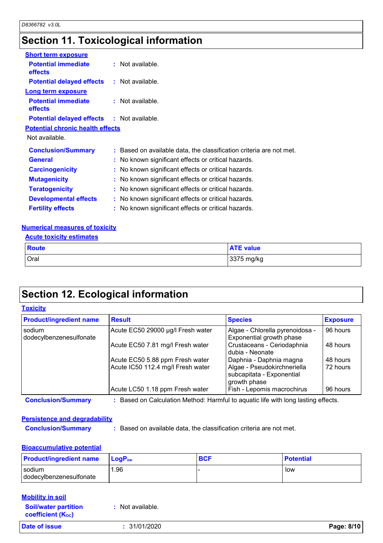# **Section 11. Toxicological information**

| <b>Short term exposure</b>                        |                                                                     |
|---------------------------------------------------|---------------------------------------------------------------------|
| <b>Potential immediate</b><br><b>effects</b>      | $:$ Not available.                                                  |
| <b>Potential delayed effects : Not available.</b> |                                                                     |
| Long term exposure                                |                                                                     |
| <b>Potential immediate</b><br><b>effects</b>      | $:$ Not available.                                                  |
| <b>Potential delayed effects : Not available.</b> |                                                                     |
| <b>Potential chronic health effects</b>           |                                                                     |
| Not available.                                    |                                                                     |
| <b>Conclusion/Summary</b>                         | : Based on available data, the classification criteria are not met. |
| <b>General</b>                                    | : No known significant effects or critical hazards.                 |
| <b>Carcinogenicity</b>                            | : No known significant effects or critical hazards.                 |
| <b>Mutagenicity</b>                               | : No known significant effects or critical hazards.                 |
| <b>Teratogenicity</b>                             | : No known significant effects or critical hazards.                 |
| <b>Developmental effects</b>                      | : No known significant effects or critical hazards.                 |
| <b>Fertility effects</b>                          | : No known significant effects or critical hazards.                 |

### **Numerical measures of toxicity**

|  | <b>Acute toxicity estimates</b> |
|--|---------------------------------|
|  |                                 |

| Route | <b>ATE value</b> |
|-------|------------------|
| Oral  | 3375 mg/kg       |

## **Section 12. Ecological information**

### **Toxicity**

| <b>Product/ingredient name</b>    | <b>Result</b>                                                                     | <b>Species</b>                                                           | <b>Exposure</b> |
|-----------------------------------|-----------------------------------------------------------------------------------|--------------------------------------------------------------------------|-----------------|
| sodium<br>dodecylbenzenesulfonate | Acute EC50 29000 µg/l Fresh water                                                 | Algae - Chlorella pyrenoidosa -<br>Exponential growth phase              | 96 hours        |
|                                   | Acute EC50 7.81 mg/l Fresh water                                                  | Crustaceans - Ceriodaphnia<br>dubia - Neonate                            | 48 hours        |
|                                   | Acute EC50 5.88 ppm Fresh water                                                   | Daphnia - Daphnia magna                                                  | 48 hours        |
|                                   | Acute IC50 112.4 mg/l Fresh water                                                 | Algae - Pseudokirchneriella<br>subcapitata - Exponential<br>growth phase | 72 hours        |
|                                   | Acute LC50 1.18 ppm Fresh water                                                   | Fish - Lepomis macrochirus                                               | 96 hours        |
| <b>Conclusion/Summary</b>         | : Based on Calculation Method: Harmful to aquatic life with long lasting effects. |                                                                          |                 |

### **Persistence and degradability**

**Conclusion/Summary :** Based on available data, the classification criteria are not met.

### **Bioaccumulative potential**

| <b>Product/ingredient name</b> | <b>LogP</b> <sub>ow</sub> | <b>BCF</b> | <b>Potential</b> |
|--------------------------------|---------------------------|------------|------------------|
| sodium                         | . 96                      |            | low              |
| dodecylbenzenesulfonate        |                           |            |                  |

| <b>Mobility in soil</b>                                 |                  |            |
|---------------------------------------------------------|------------------|------------|
| <b>Soil/water partition</b><br><b>coefficient (Koc)</b> | : Not available. |            |
| Date of issue                                           | : 31/01/2020     | Page: 8/10 |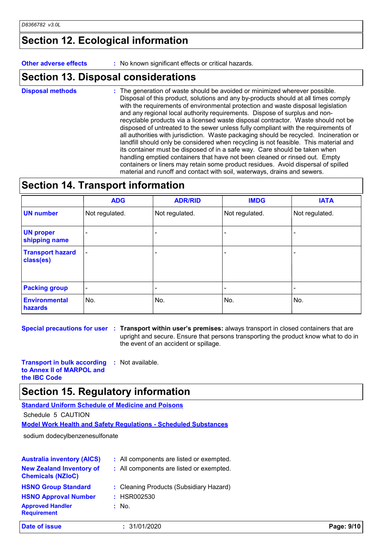## **Section 12. Ecological information**

**Other adverse effects :** No known significant effects or critical hazards.

### **Section 13. Disposal considerations**

The generation of waste should be avoided or minimized wherever possible. Disposal of this product, solutions and any by-products should at all times comply with the requirements of environmental protection and waste disposal legislation and any regional local authority requirements. Dispose of surplus and nonrecyclable products via a licensed waste disposal contractor. Waste should not be disposed of untreated to the sewer unless fully compliant with the requirements of all authorities with jurisdiction. Waste packaging should be recycled. Incineration or landfill should only be considered when recycling is not feasible. This material and its container must be disposed of in a safe way. Care should be taken when handling emptied containers that have not been cleaned or rinsed out. Empty containers or liners may retain some product residues. Avoid dispersal of spilled material and runoff and contact with soil, waterways, drains and sewers. **Disposal methods :**

## **Section 14. Transport information**

|                                      | <b>ADG</b>               | <b>ADR/RID</b>           | <b>IMDG</b>    | <b>IATA</b>              |
|--------------------------------------|--------------------------|--------------------------|----------------|--------------------------|
| <b>UN number</b>                     | Not regulated.           | Not regulated.           | Not regulated. | Not regulated.           |
| <b>UN proper</b><br>shipping name    |                          |                          |                | $\overline{\phantom{0}}$ |
| <b>Transport hazard</b><br>class(es) | $\overline{\phantom{a}}$ |                          |                |                          |
| <b>Packing group</b>                 | $\overline{\phantom{a}}$ | $\overline{\phantom{0}}$ | -              |                          |
| <b>Environmental</b><br>hazards      | No.                      | No.                      | No.            | No.                      |

**Special precautions for user Transport within user's premises:** always transport in closed containers that are **:** upright and secure. Ensure that persons transporting the product know what to do in the event of an accident or spillage.

**Transport in bulk according to Annex II of MARPOL and :** Not available.

**the IBC Code**

### **Section 15. Regulatory information**

**Standard Uniform Schedule of Medicine and Poisons**

Schedule 5 CAUTION

**Model Work Health and Safety Regulations - Scheduled Substances**

sodium dodecylbenzenesulfonate

| <b>Australia inventory (AICS)</b><br><b>New Zealand Inventory of</b><br><b>Chemicals (NZIoC)</b>           | : All components are listed or exempted.<br>: All components are listed or exempted. |            |
|------------------------------------------------------------------------------------------------------------|--------------------------------------------------------------------------------------|------------|
| <b>HSNO Group Standard</b><br><b>HSNO Approval Number</b><br><b>Approved Handler</b><br><b>Requirement</b> | : Cleaning Products (Subsidiary Hazard)<br>: HSR002530<br>$:$ No.                    |            |
| <b>Date of issue</b>                                                                                       | : 31/01/2020                                                                         | Page: 9/10 |